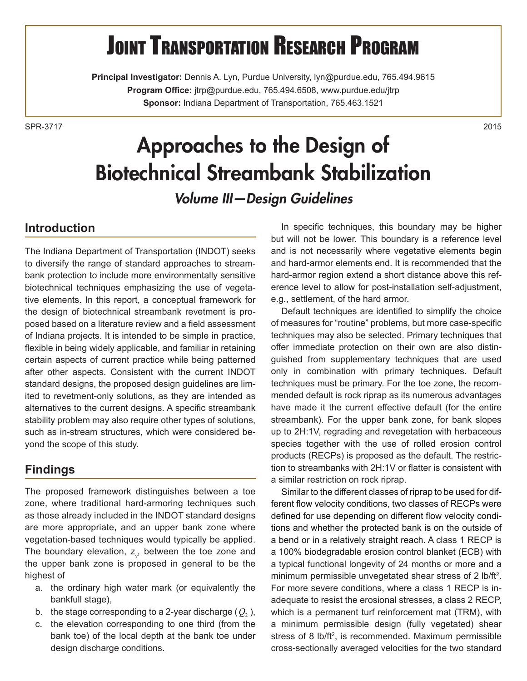# **JOINT TRANSPORTATION RESEARCH PROGRAM**

**Principal Investigator:** Dennis A. Lyn, Purdue University, lyn@purdue.edu, 765.494.9615 **Program Office:** jtrp@purdue.edu, 765.494.6508, www.purdue.edu/jtrp **Sponsor:** Indiana Department of Transportation, 765.463.1521

SPR-37172015

## Approaches to the Design of Biotechnical Streambank Stabilization

*Volume III—Design Guidelines*

#### **Introduction**

The Indiana Department of Transportation (INDOT) seeks to diversify the range of standard approaches to streambank protection to include more environmentally sensitive biotechnical techniques emphasizing the use of vegetative elements. In this report, a conceptual framework for the design of biotechnical streambank revetment is proposed based on a literature review and a field assessment of Indiana projects. It is intended to be simple in practice, flexible in being widely applicable, and familiar in retaining certain aspects of current practice while being patterned after other aspects. Consistent with the current INDOT standard designs, the proposed design guidelines are limited to revetment-only solutions, as they are intended as alternatives to the current designs. A specific streambank stability problem may also require other types of solutions, such as in-stream structures, which were considered beyond the scope of this study.

#### **Findings**

The proposed framework distinguishes between a toe zone, where traditional hard-armoring techniques such as those already included in the INDOT standard designs are more appropriate, and an upper bank zone where vegetation-based techniques would typically be applied. The boundary elevation,  $z_{v}$ , between the toe zone and the upper bank zone is proposed in general to be the highest of

- a. the ordinary high water mark (or equivalently the bankfull stage),
- b. the stage corresponding to a 2-year discharge  $(Q_2)$ ,
- c. the elevation corresponding to one third (from the bank toe) of the local depth at the bank toe under design discharge conditions.

In specific techniques, this boundary may be higher but will not be lower. This boundary is a reference level and is not necessarily where vegetative elements begin and hard-armor elements end. It is recommended that the hard-armor region extend a short distance above this reference level to allow for post-installation self-adjustment, e.g., settlement, of the hard armor.

Default techniques are identified to simplify the choice of measures for "routine" problems, but more case-specific techniques may also be selected. Primary techniques that offer immediate protection on their own are also distinguished from supplementary techniques that are used only in combination with primary techniques. Default techniques must be primary. For the toe zone, the recommended default is rock riprap as its numerous advantages have made it the current effective default (for the entire streambank). For the upper bank zone, for bank slopes up to 2H:1V, regrading and revegetation with herbaceous species together with the use of rolled erosion control products (RECPs) is proposed as the default. The restriction to streambanks with 2H:1V or flatter is consistent with a similar restriction on rock riprap.

Similar to the different classes of riprap to be used for different flow velocity conditions, two classes of RECPs were defined for use depending on different flow velocity conditions and whether the protected bank is on the outside of a bend or in a relatively straight reach. A class 1 RECP is a 100% biodegradable erosion control blanket (ECB) with a typical functional longevity of 24 months or more and a minimum permissible unvegetated shear stress of 2 lb/ft<sup>2</sup>. For more severe conditions, where a class 1 RECP is inadequate to resist the erosional stresses, a class 2 RECP, which is a permanent turf reinforcement mat (TRM), with a minimum permissible design (fully vegetated) shear stress of 8 lb/ft<sup>2</sup>, is recommended. Maximum permissible cross-sectionally averaged velocities for the two standard